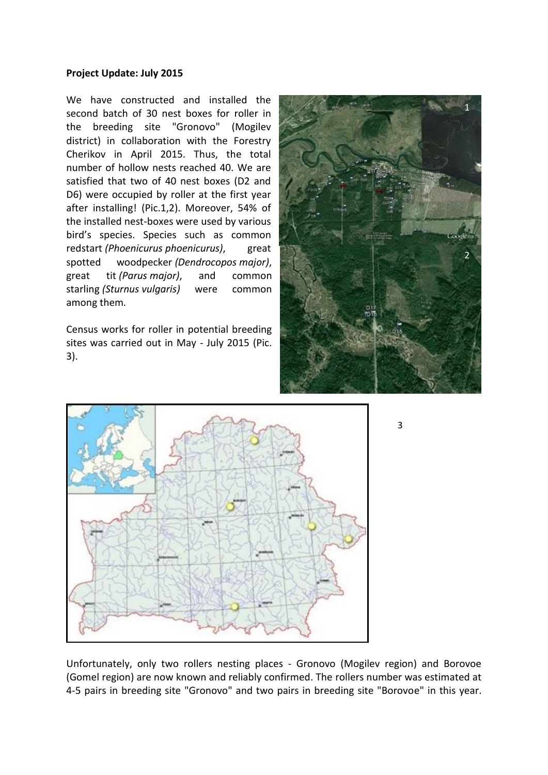## **Project Update: July 2015**

We have constructed and installed the second batch of 30 nest boxes for roller in the breeding site "Gronovo" (Mogilev district) in collaboration with the Forestry Cherikov in April 2015. Thus, the total number of hollow nests reached 40. We are satisfied that two of 40 nest boxes (D2 and D6) were occupied by roller at the first year after installing! (Pic.1,2). Moreover, 54% of the installed nest-boxes were used by various bird's species. Species such as common redstart *(Phoenicurus phoenicurus)*, great spotted woodpecker *(Dendrocopos major)*, great tit *(Parus major)*, and common starling *(Sturnus vulgaris)* were common among them*.*

Census works for roller in potential breeding sites was carried out in May - July 2015 (Pic. 3).





Unfortunately, only two rollers nesting places - Gronovo (Mogilev region) and Borovoe (Gomel region) are now known and reliably confirmed. The rollers number was estimated at 4-5 pairs in breeding site "Gronovo" and two pairs in breeding site "Borovoe" in this year.

3